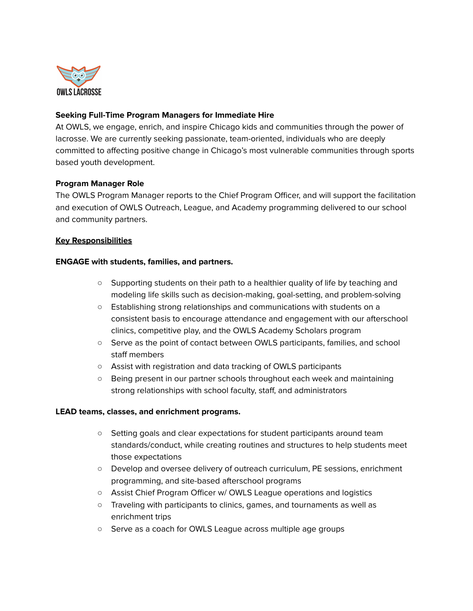

# **Seeking Full-Time Program Managers for Immediate Hire**

At OWLS, we engage, enrich, and inspire Chicago kids and communities through the power of lacrosse. We are currently seeking passionate, team-oriented, individuals who are deeply committed to affecting positive change in Chicago's most vulnerable communities through sports based youth development.

## **Program Manager Role**

The OWLS Program Manager reports to the Chief Program Officer, and will support the facilitation and execution of OWLS Outreach, League, and Academy programming delivered to our school and community partners.

## **Key Responsibilities**

### **ENGAGE with students, families, and partners.**

- Supporting students on their path to a healthier quality of life by teaching and modeling life skills such as decision-making, goal-setting, and problem-solving
- Establishing strong relationships and communications with students on a consistent basis to encourage attendance and engagement with our afterschool clinics, competitive play, and the OWLS Academy Scholars program
- Serve as the point of contact between OWLS participants, families, and school staff members
- Assist with registration and data tracking of OWLS participants
- Being present in our partner schools throughout each week and maintaining strong relationships with school faculty, staff, and administrators

### **LEAD teams, classes, and enrichment programs.**

- Setting goals and clear expectations for student participants around team standards/conduct, while creating routines and structures to help students meet those expectations
- Develop and oversee delivery of outreach curriculum, PE sessions, enrichment programming, and site-based afterschool programs
- Assist Chief Program Officer w/ OWLS League operations and logistics
- Traveling with participants to clinics, games, and tournaments as well as enrichment trips
- Serve as a coach for OWLS League across multiple age groups